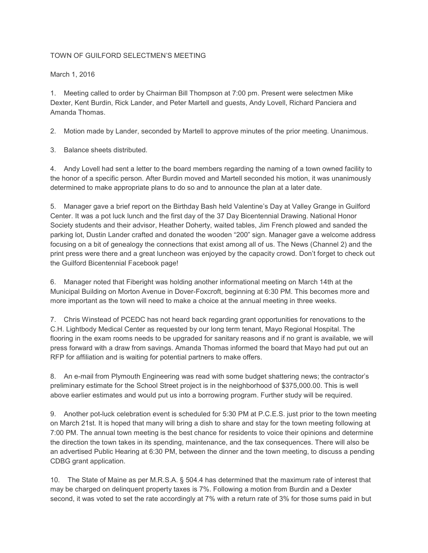## TOWN OF GUILFORD SELECTMEN'S MEETING

March 1, 2016

1. Meeting called to order by Chairman Bill Thompson at 7:00 pm. Present were selectmen Mike Dexter, Kent Burdin, Rick Lander, and Peter Martell and guests, Andy Lovell, Richard Panciera and Amanda Thomas.

2. Motion made by Lander, seconded by Martell to approve minutes of the prior meeting. Unanimous.

3. Balance sheets distributed.

4. Andy Lovell had sent a letter to the board members regarding the naming of a town owned facility to the honor of a specific person. After Burdin moved and Martell seconded his motion, it was unanimously determined to make appropriate plans to do so and to announce the plan at a later date.

5. Manager gave a brief report on the Birthday Bash held Valentine's Day at Valley Grange in Guilford Center. It was a pot luck lunch and the first day of the 37 Day Bicentennial Drawing. National Honor Society students and their advisor, Heather Doherty, waited tables, Jim French plowed and sanded the parking lot, Dustin Lander crafted and donated the wooden "200" sign. Manager gave a welcome address focusing on a bit of genealogy the connections that exist among all of us. The News (Channel 2) and the print press were there and a great luncheon was enjoyed by the capacity crowd. Don't forget to check out the Guilford Bicentennial Facebook page!

6. Manager noted that Fiberight was holding another informational meeting on March 14th at the Municipal Building on Morton Avenue in Dover-Foxcroft, beginning at 6:30 PM. This becomes more and more important as the town will need to make a choice at the annual meeting in three weeks.

7. Chris Winstead of PCEDC has not heard back regarding grant opportunities for renovations to the C.H. Lightbody Medical Center as requested by our long term tenant, Mayo Regional Hospital. The flooring in the exam rooms needs to be upgraded for sanitary reasons and if no grant is available, we will press forward with a draw from savings. Amanda Thomas informed the board that Mayo had put out an RFP for affiliation and is waiting for potential partners to make offers.

8. An e-mail from Plymouth Engineering was read with some budget shattering news; the contractor's preliminary estimate for the School Street project is in the neighborhood of \$375,000.00. This is well above earlier estimates and would put us into a borrowing program. Further study will be required.

9. Another pot-luck celebration event is scheduled for 5:30 PM at P.C.E.S. just prior to the town meeting on March 21st. It is hoped that many will bring a dish to share and stay for the town meeting following at 7:00 PM. The annual town meeting is the best chance for residents to voice their opinions and determine the direction the town takes in its spending, maintenance, and the tax consequences. There will also be an advertised Public Hearing at 6:30 PM, between the dinner and the town meeting, to discuss a pending CDBG grant application.

10. The State of Maine as per M.R.S.A. § 504.4 has determined that the maximum rate of interest that may be charged on delinquent property taxes is 7%. Following a motion from Burdin and a Dexter second, it was voted to set the rate accordingly at 7% with a return rate of 3% for those sums paid in but